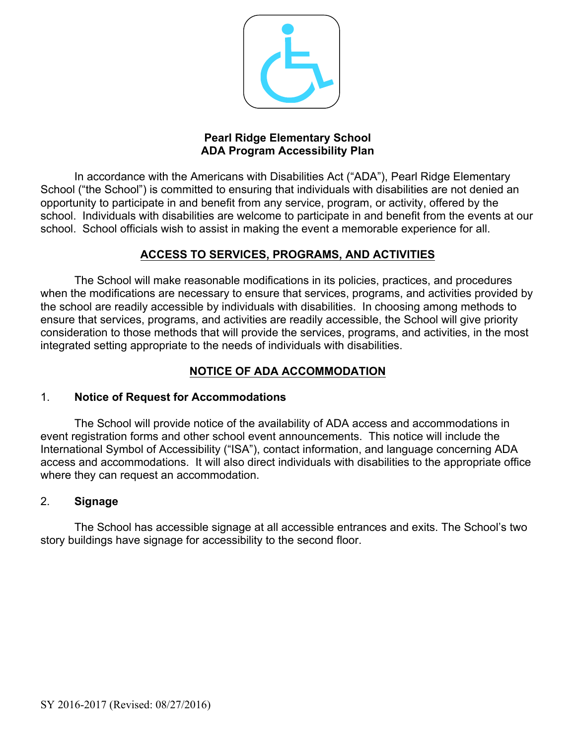

#### **Pearl Ridge Elementary School ADA Program Accessibility Plan**

In accordance with the Americans with Disabilities Act ("ADA"), Pearl Ridge Elementary School ("the School") is committed to ensuring that individuals with disabilities are not denied an opportunity to participate in and benefit from any service, program, or activity, offered by the school. Individuals with disabilities are welcome to participate in and benefit from the events at our school. School officials wish to assist in making the event a memorable experience for all.

## **ACCESS TO SERVICES, PROGRAMS, AND ACTIVITIES**

The School will make reasonable modifications in its policies, practices, and procedures when the modifications are necessary to ensure that services, programs, and activities provided by the school are readily accessible by individuals with disabilities. In choosing among methods to ensure that services, programs, and activities are readily accessible, the School will give priority consideration to those methods that will provide the services, programs, and activities, in the most integrated setting appropriate to the needs of individuals with disabilities.

# **NOTICE OF ADA ACCOMMODATION**

### 1. **Notice of Request for Accommodations**

The School will provide notice of the availability of ADA access and accommodations in event registration forms and other school event announcements. This notice will include the International Symbol of Accessibility ("ISA"), contact information, and language concerning ADA access and accommodations. It will also direct individuals with disabilities to the appropriate office where they can request an accommodation.

### 2. **Signage**

The School has accessible signage at all accessible entrances and exits. The School's two story buildings have signage for accessibility to the second floor.